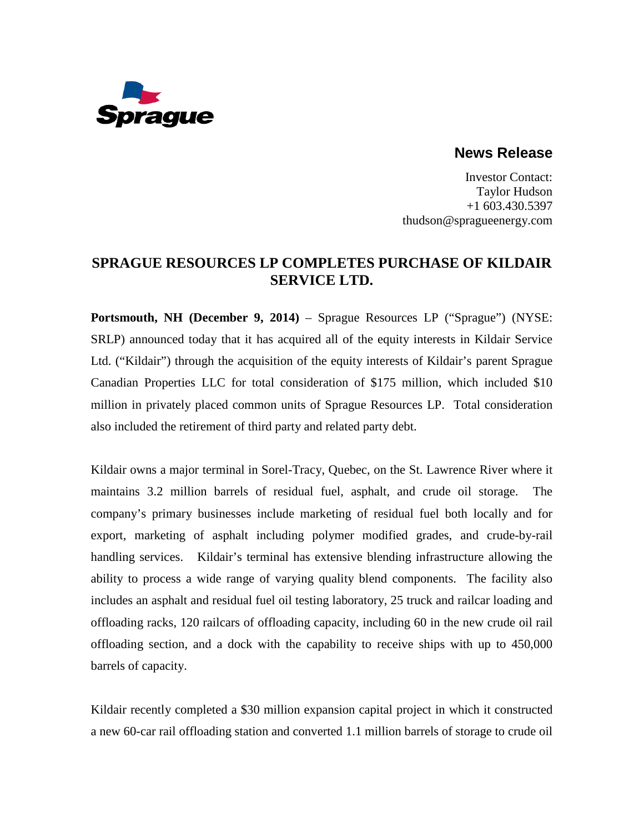

## **News Release**

Investor Contact: Taylor Hudson +1 603.430.5397 thudson@spragueenergy.com

## **SPRAGUE RESOURCES LP COMPLETES PURCHASE OF KILDAIR SERVICE LTD.**

**Portsmouth, NH (December 9, 2014)** – Sprague Resources LP ("Sprague") (NYSE: SRLP) announced today that it has acquired all of the equity interests in Kildair Service Ltd. ("Kildair") through the acquisition of the equity interests of Kildair's parent Sprague Canadian Properties LLC for total consideration of \$175 million, which included \$10 million in privately placed common units of Sprague Resources LP. Total consideration also included the retirement of third party and related party debt.

Kildair owns a major terminal in Sorel-Tracy, Quebec, on the St. Lawrence River where it maintains 3.2 million barrels of residual fuel, asphalt, and crude oil storage. The company's primary businesses include marketing of residual fuel both locally and for export, marketing of asphalt including polymer modified grades, and crude-by-rail handling services. Kildair's terminal has extensive blending infrastructure allowing the ability to process a wide range of varying quality blend components. The facility also includes an asphalt and residual fuel oil testing laboratory, 25 truck and railcar loading and offloading racks, 120 railcars of offloading capacity, including 60 in the new crude oil rail offloading section, and a dock with the capability to receive ships with up to 450,000 barrels of capacity.

Kildair recently completed a \$30 million expansion capital project in which it constructed a new 60-car rail offloading station and converted 1.1 million barrels of storage to crude oil